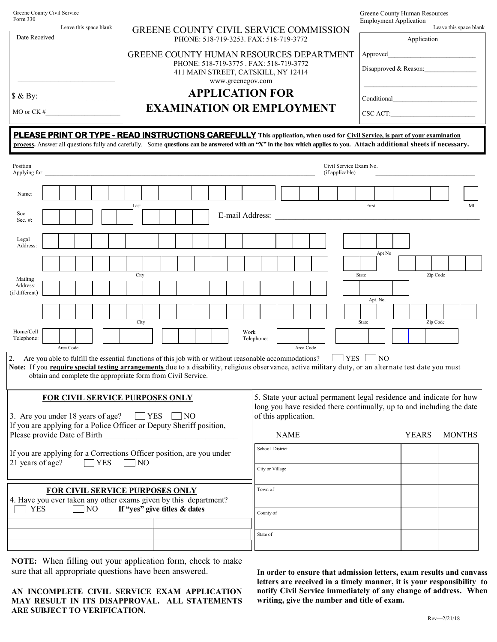| Greene County Civil Service<br>Form 330<br>Leave this space blank                                                                                                                                                                                                                                             |                                                              |                                        |  |                                                                                         |                                                                                                     |                                                            |      |  |  |                              |  |  |  |             |                    | Greene County Human Resources<br><b>Employment Application</b><br>Leave this space blank |  |  |           |  |                                           |     |       |          |                |              |  |  |               |  |                                                                                                                                              |
|---------------------------------------------------------------------------------------------------------------------------------------------------------------------------------------------------------------------------------------------------------------------------------------------------------------|--------------------------------------------------------------|----------------------------------------|--|-----------------------------------------------------------------------------------------|-----------------------------------------------------------------------------------------------------|------------------------------------------------------------|------|--|--|------------------------------|--|--|--|-------------|--------------------|------------------------------------------------------------------------------------------|--|--|-----------|--|-------------------------------------------|-----|-------|----------|----------------|--------------|--|--|---------------|--|----------------------------------------------------------------------------------------------------------------------------------------------|
| Date Received                                                                                                                                                                                                                                                                                                 |                                                              |                                        |  | <b>GREENE COUNTY CIVIL SERVICE COMMISSION</b><br>PHONE: 518-719-3253. FAX: 518-719-3772 |                                                                                                     |                                                            |      |  |  |                              |  |  |  | Application |                    |                                                                                          |  |  |           |  |                                           |     |       |          |                |              |  |  |               |  |                                                                                                                                              |
|                                                                                                                                                                                                                                                                                                               |                                                              |                                        |  |                                                                                         | GREENE COUNTY HUMAN RESOURCES DEPARTMENT                                                            |                                                            |      |  |  |                              |  |  |  |             | Approved           |                                                                                          |  |  |           |  |                                           |     |       |          |                |              |  |  |               |  |                                                                                                                                              |
|                                                                                                                                                                                                                                                                                                               |                                                              |                                        |  |                                                                                         | PHONE: 518-719-3775 . FAX: 518-719-3772<br>411 MAIN STREET, CATSKILL, NY 12414<br>www.greenegov.com |                                                            |      |  |  |                              |  |  |  |             |                    |                                                                                          |  |  |           |  | Disapproved $& Reason:$                   |     |       |          |                |              |  |  |               |  |                                                                                                                                              |
| $\&$ By:                                                                                                                                                                                                                                                                                                      |                                                              |                                        |  |                                                                                         |                                                                                                     | <b>APPLICATION FOR</b><br><b>EXAMINATION OR EMPLOYMENT</b> |      |  |  |                              |  |  |  |             |                    |                                                                                          |  |  |           |  |                                           |     |       |          |                |              |  |  |               |  |                                                                                                                                              |
| MO or $CK \#$                                                                                                                                                                                                                                                                                                 |                                                              |                                        |  |                                                                                         |                                                                                                     |                                                            |      |  |  |                              |  |  |  |             |                    |                                                                                          |  |  |           |  |                                           |     |       |          |                |              |  |  |               |  |                                                                                                                                              |
| <b>PLEASE PRINT OR TYPE - READ INSTRUCTIONS CAREFULLY</b> This application, when used for Civil Service, is part of your examination<br>process. Answer all questions fully and carefully. Some questions can be answered with an "X" in the box which applies to you. Attach additional sheets if necessary. |                                                              |                                        |  |                                                                                         |                                                                                                     |                                                            |      |  |  |                              |  |  |  |             |                    |                                                                                          |  |  |           |  |                                           |     |       |          |                |              |  |  |               |  |                                                                                                                                              |
| Position                                                                                                                                                                                                                                                                                                      |                                                              |                                        |  |                                                                                         |                                                                                                     |                                                            |      |  |  |                              |  |  |  |             |                    |                                                                                          |  |  |           |  | Civil Service Exam No.<br>(if applicable) |     |       |          |                |              |  |  |               |  |                                                                                                                                              |
| Name:                                                                                                                                                                                                                                                                                                         |                                                              |                                        |  |                                                                                         |                                                                                                     |                                                            |      |  |  |                              |  |  |  |             |                    |                                                                                          |  |  |           |  |                                           |     |       |          |                |              |  |  |               |  |                                                                                                                                              |
| Soc.<br>Sec. $#$ :                                                                                                                                                                                                                                                                                            |                                                              |                                        |  |                                                                                         |                                                                                                     |                                                            | Last |  |  |                              |  |  |  |             |                    | E-mail Address:                                                                          |  |  |           |  |                                           |     |       | First    |                |              |  |  |               |  | MI                                                                                                                                           |
| Legal<br>Address:                                                                                                                                                                                                                                                                                             |                                                              |                                        |  |                                                                                         |                                                                                                     |                                                            |      |  |  |                              |  |  |  |             |                    |                                                                                          |  |  |           |  |                                           |     |       |          |                |              |  |  |               |  |                                                                                                                                              |
|                                                                                                                                                                                                                                                                                                               |                                                              |                                        |  |                                                                                         |                                                                                                     |                                                            |      |  |  |                              |  |  |  |             |                    |                                                                                          |  |  |           |  |                                           |     |       |          | Apt No         |              |  |  |               |  |                                                                                                                                              |
| Mailing<br>Address:                                                                                                                                                                                                                                                                                           |                                                              |                                        |  |                                                                                         |                                                                                                     |                                                            | City |  |  |                              |  |  |  |             |                    |                                                                                          |  |  |           |  |                                           |     | State |          |                |              |  |  | Zip Code      |  |                                                                                                                                              |
| (if different)                                                                                                                                                                                                                                                                                                |                                                              |                                        |  |                                                                                         |                                                                                                     |                                                            |      |  |  |                              |  |  |  |             |                    |                                                                                          |  |  |           |  |                                           |     |       | Apt. No. |                |              |  |  |               |  |                                                                                                                                              |
|                                                                                                                                                                                                                                                                                                               |                                                              |                                        |  |                                                                                         |                                                                                                     |                                                            | City |  |  |                              |  |  |  |             |                    |                                                                                          |  |  |           |  |                                           |     | State |          |                |              |  |  | Zip Code      |  |                                                                                                                                              |
| Home/Cell<br>Telephone:                                                                                                                                                                                                                                                                                       |                                                              | Area Code                              |  |                                                                                         |                                                                                                     |                                                            |      |  |  |                              |  |  |  |             | Work<br>Telephone: |                                                                                          |  |  | Area Code |  |                                           |     |       |          |                |              |  |  |               |  |                                                                                                                                              |
| 2. Are you able to fulfill the essential functions of this job with or without reasonable accommodations?<br>Note: If you require special testing arrangements due to a disability, religious observance, active military duty, or an alternate test date you must                                            | obtain and complete the appropriate form from Civil Service. |                                        |  |                                                                                         |                                                                                                     |                                                            |      |  |  |                              |  |  |  |             |                    |                                                                                          |  |  |           |  |                                           | YES |       |          | N <sub>O</sub> |              |  |  |               |  |                                                                                                                                              |
| 3. Are you under 18 years of age?<br>If you are applying for a Police Officer or Deputy Sheriff position,                                                                                                                                                                                                     | <b>FOR CIVIL SERVICE PURPOSES ONLY</b>                       |                                        |  |                                                                                         |                                                                                                     |                                                            |      |  |  | $\Box$ YES $\Box$ NO         |  |  |  |             |                    | of this application.                                                                     |  |  |           |  |                                           |     |       |          |                |              |  |  |               |  | 5. State your actual permanent legal residence and indicate for how<br>long you have resided there continually, up to and including the date |
| Please provide Date of Birth <b>Exercise 2.2 Figure 2.2 Figure 2.3</b>                                                                                                                                                                                                                                        |                                                              |                                        |  |                                                                                         |                                                                                                     |                                                            |      |  |  |                              |  |  |  |             |                    | <b>NAME</b>                                                                              |  |  |           |  |                                           |     |       |          |                | <b>YEARS</b> |  |  | <b>MONTHS</b> |  |                                                                                                                                              |
| If you are applying for a Corrections Officer position, are you under<br>21 years of age?<br>$\Box$ YES<br>N <sub>O</sub>                                                                                                                                                                                     |                                                              |                                        |  |                                                                                         |                                                                                                     | School District                                            |      |  |  |                              |  |  |  |             |                    |                                                                                          |  |  |           |  |                                           |     |       |          |                |              |  |  |               |  |                                                                                                                                              |
|                                                                                                                                                                                                                                                                                                               |                                                              |                                        |  |                                                                                         |                                                                                                     |                                                            |      |  |  |                              |  |  |  |             |                    | City or Village                                                                          |  |  |           |  |                                           |     |       |          |                |              |  |  |               |  |                                                                                                                                              |
| 4. Have you ever taken any other exams given by this department?                                                                                                                                                                                                                                              |                                                              | <b>FOR CIVIL SERVICE PURPOSES ONLY</b> |  |                                                                                         |                                                                                                     |                                                            |      |  |  |                              |  |  |  |             |                    | Town of                                                                                  |  |  |           |  |                                           |     |       |          |                |              |  |  |               |  |                                                                                                                                              |
| <b>YES</b>                                                                                                                                                                                                                                                                                                    |                                                              |                                        |  | NO                                                                                      |                                                                                                     |                                                            |      |  |  | If "yes" give titles & dates |  |  |  |             |                    | County of                                                                                |  |  |           |  |                                           |     |       |          |                |              |  |  |               |  |                                                                                                                                              |
|                                                                                                                                                                                                                                                                                                               |                                                              |                                        |  |                                                                                         |                                                                                                     |                                                            |      |  |  |                              |  |  |  |             |                    | State of                                                                                 |  |  |           |  |                                           |     |       |          |                |              |  |  |               |  |                                                                                                                                              |
|                                                                                                                                                                                                                                                                                                               |                                                              |                                        |  |                                                                                         |                                                                                                     |                                                            |      |  |  |                              |  |  |  |             |                    |                                                                                          |  |  |           |  |                                           |     |       |          |                |              |  |  |               |  |                                                                                                                                              |

**NOTE:** When filling out your application form, check to make sure that all appropriate questions have been answered.

**AN INCOMPLETE CIVIL SERVICE EXAM APPLICATION MAY RESULT IN ITS DISAPPROVAL. ALL STATEMENTS ARE SUBJECT TO VERIFICATION.**

**In order to ensure that admission letters, exam results and canvass letters are received in a timely manner, it is your responsibility to notify Civil Service immediately of any change of address. When writing, give the number and title of exam.**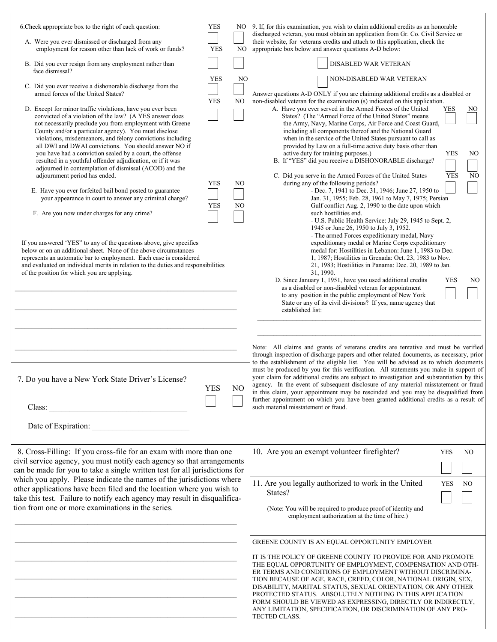| 6. Check appropriate box to the right of each question:<br>A. Were you ever dismissed or discharged from any<br>employment for reason other than lack of work or funds?<br>B. Did you ever resign from any employment rather than                                                                                                                                                                                                                                                                                                                                                                                            | <b>YES</b><br><b>YES</b> | NO<br>N <sub>O</sub> | 9. If, for this examination, you wish to claim additional credits as an honorable<br>discharged veteran, you must obtain an application from Gr. Co. Civil Service or<br>their website, for veterans credits and attach to this application, check the<br>appropriate box below and answer questions A-D below:<br>DISABLED WAR VETERAN                                                                                                                                                                                                                                                                                                                                                                                                                                    |
|------------------------------------------------------------------------------------------------------------------------------------------------------------------------------------------------------------------------------------------------------------------------------------------------------------------------------------------------------------------------------------------------------------------------------------------------------------------------------------------------------------------------------------------------------------------------------------------------------------------------------|--------------------------|----------------------|----------------------------------------------------------------------------------------------------------------------------------------------------------------------------------------------------------------------------------------------------------------------------------------------------------------------------------------------------------------------------------------------------------------------------------------------------------------------------------------------------------------------------------------------------------------------------------------------------------------------------------------------------------------------------------------------------------------------------------------------------------------------------|
| face dismissal?<br>C. Did you ever receive a dishonorable discharge from the                                                                                                                                                                                                                                                                                                                                                                                                                                                                                                                                                 | <b>YES</b>               | NO                   | NON-DISABLED WAR VETERAN                                                                                                                                                                                                                                                                                                                                                                                                                                                                                                                                                                                                                                                                                                                                                   |
| armed forces of the United States?<br>D. Except for minor traffic violations, have you ever been<br>convicted of a violation of the law? (A YES answer does<br>not necessarily preclude you from employment with Greene<br>County and/or a particular agency). You must disclose<br>violations, misdemeanors, and felony convictions including<br>all DWI and DWAI convictions. You should answer NO if<br>you have had a conviction sealed by a court, the offense<br>resulted in a youthful offender adjudication, or if it was<br>adjourned in contemplation of dismissal (ACOD) and the<br>adjournment period has ended. | <b>YES</b>               | NO                   | Answer questions A-D ONLY if you are claiming additional credits as a disabled or<br>non-disabled veteran for the examination (s) indicated on this application.<br>A. Have you ever served in the Armed Forces of the United<br>YES<br>NO<br>States? (The "Armed Force of the United States" means<br>the Army, Navy, Marine Corps, Air Force and Coast Guard,<br>including all components thereof and the National Guard<br>when in the service of the United States pursuant to call as<br>provided by Law on a full-time active duty basis other than<br>active duty for training purposes.)<br><b>YES</b><br>NO<br>B. If "YES" did you receive a DISHONORABLE discharge?<br>C. Did you serve in the Armed Forces of the United States<br><b>YES</b><br>N <sub>O</sub> |
| E. Have you ever forfeited bail bond posted to guarantee<br>your appearance in court to answer any criminal charge?<br>F. Are you now under charges for any crime?                                                                                                                                                                                                                                                                                                                                                                                                                                                           | <b>YES</b><br><b>YES</b> | NO<br>NO             | during any of the following periods?<br>- Dec. 7, 1941 to Dec. 31, 1946; June 27, 1950 to<br>Jan. 31, 1955; Feb. 28, 1961 to May 7, 1975; Persian<br>Gulf conflict Aug. 2, 1990 to the date upon which<br>such hostilities end.                                                                                                                                                                                                                                                                                                                                                                                                                                                                                                                                            |
| If you answered 'YES" to any of the questions above, give specifics<br>below or on an additional sheet. None of the above circumstances<br>represents an automatic bar to employment. Each case is considered<br>and evaluated on individual merits in relation to the duties and responsibilities<br>of the position for which you are applying.                                                                                                                                                                                                                                                                            |                          |                      | - U.S. Public Health Service: July 29, 1945 to Sept. 2,<br>1945 or June 26, 1950 to July 3, 1952.<br>- The armed Forces expeditionary medal, Navy<br>expeditionary medal or Marine Corps expeditionary<br>medal for: Hostilities in Lebanon: June 1, 1983 to Dec.<br>1, 1987; Hostilities in Grenada: Oct. 23, 1983 to Nov.<br>21, 1983; Hostilities in Panama: Dec. 20, 1989 to Jan.<br>31, 1990.<br>D. Since January 1, 1951, have you used additional credits<br><b>YES</b><br>NO<br>as a disabled or non-disabled veteran for appointment<br>to any position in the public employment of New York<br>State or any of its civil divisions? If yes, name agency that<br>established list:                                                                                |
| 7. Do you have a New York State Driver's License?                                                                                                                                                                                                                                                                                                                                                                                                                                                                                                                                                                            | <b>YES</b>               | N <sub>O</sub>       | Note: All claims and grants of veterans credits are tentative and must be verified<br>through inspection of discharge papers and other related documents, as necessary, prior<br>to the establishment of the eligible list. You will be advised as to which documents<br>must be produced by you for this verification. All statements you make in support of<br>your claim for additional credits are subject to investigation and substantiation by this<br>agency. In the event of subsequent disclosure of any material misstatement or fraud<br>in this claim, your appointment may be rescinded and you may be disqualified from<br>further appointment on which you have been granted additional credits as a result of<br>such material misstatement or fraud.     |
|                                                                                                                                                                                                                                                                                                                                                                                                                                                                                                                                                                                                                              |                          |                      |                                                                                                                                                                                                                                                                                                                                                                                                                                                                                                                                                                                                                                                                                                                                                                            |
| 8. Cross-Filling: If you cross-file for an exam with more than one<br>civil service agency, you must notify each agency so that arrangements<br>can be made for you to take a single written test for all jurisdictions for                                                                                                                                                                                                                                                                                                                                                                                                  |                          |                      | 10. Are you an exempt volunteer firefighter?<br><b>YES</b><br>N <sub>O</sub>                                                                                                                                                                                                                                                                                                                                                                                                                                                                                                                                                                                                                                                                                               |
| which you apply. Please indicate the names of the jurisdictions where<br>other applications have been filed and the location where you wish to<br>take this test. Failure to notify each agency may result in disqualifica-<br>tion from one or more examinations in the series.                                                                                                                                                                                                                                                                                                                                             |                          |                      | 11. Are you legally authorized to work in the United<br><b>YES</b><br>N <sub>O</sub><br>States?<br>(Note: You will be required to produce proof of identity and<br>employment authorization at the time of hire.)                                                                                                                                                                                                                                                                                                                                                                                                                                                                                                                                                          |
|                                                                                                                                                                                                                                                                                                                                                                                                                                                                                                                                                                                                                              |                          |                      | GREENE COUNTY IS AN EQUAL OPPORTUNITY EMPLOYER                                                                                                                                                                                                                                                                                                                                                                                                                                                                                                                                                                                                                                                                                                                             |
|                                                                                                                                                                                                                                                                                                                                                                                                                                                                                                                                                                                                                              |                          |                      | IT IS THE POLICY OF GREENE COUNTY TO PROVIDE FOR AND PROMOTE<br>THE EQUAL OPPORTUNITY OF EMPLOYMENT, COMPENSATION AND OTH-<br>ER TERMS AND CONDITIONS OF EMPLOYMENT WITHOUT DISCRIMINA-<br>TION BECAUSE OF AGE, RACE, CREED, COLOR, NATIONAL ORIGIN, SEX,<br>DISABILITY, MARITAL STATUS, SEXUAL ORIENTATION, OR ANY OTHER<br>PROTECTED STATUS. ABSOLUTELY NOTHING IN THIS APPLICATION<br>FORM SHOULD BE VIEWED AS EXPRESSING, DIRECTLY OR INDIRECTLY,<br>ANY LIMITATION, SPECIFICATION, OR DISCRIMINATION OF ANY PRO-<br>TECTED CLASS.                                                                                                                                                                                                                                     |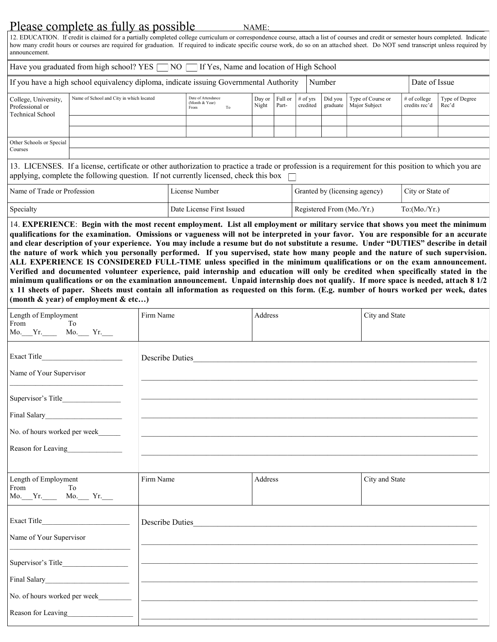## Please complete as fully as possible

NAME:

12. EDUCATION. If credit is claimed for a partially completed college curriculum or correspondence course, attach a list of courses and credit or semester hours completed. Indicate how many credit hours or courses are required for graduation. If required to indicate specific course work, do so on an attached sheet. Do NOT send transcript unless required by announcement.

| Have you graduated from high school? YES $\Box$ NO $\Box$ If Yes, Name and location of High School                |                                          |                                                    |                                 |       |                        |                     |                                    |                                 |                         |
|-------------------------------------------------------------------------------------------------------------------|------------------------------------------|----------------------------------------------------|---------------------------------|-------|------------------------|---------------------|------------------------------------|---------------------------------|-------------------------|
| If you have a high school equivalency diploma, indicate issuing Governmental Authority<br>Number<br>Date of Issue |                                          |                                                    |                                 |       |                        |                     |                                    |                                 |                         |
| College, University,<br>Professional or<br><b>Technical School</b>                                                | Name of School and City in which located | Date of Attendance<br>(Month & Year)<br>To<br>From | Day or $\vert$ Full or<br>Night | Part- | $#$ of vrs<br>credited | Did you<br>graduate | Type of Course or<br>Major Subject | $#$ of college<br>credits rec'd | Type of Degree<br>Rec'd |
|                                                                                                                   |                                          |                                                    |                                 |       |                        |                     |                                    |                                 |                         |
| Other Schools or Special<br>Courses                                                                               |                                          |                                                    |                                 |       |                        |                     |                                    |                                 |                         |
|                                                                                                                   |                                          |                                                    |                                 |       |                        |                     |                                    |                                 |                         |

13. LICENSES. If a license, certificate or other authorization to practice a trade or profession is a requirement for this position to which you are applying, complete the following question. If not currently licensed, check this box  $\Box$ 

| Name of Trade or Profession | License Number            | Granted by (licensing agency) | City or State of |
|-----------------------------|---------------------------|-------------------------------|------------------|
| Specialty                   | Date License First Issued | Registered From (Mo./Yr.)     | To:(Mo./Yr.)     |

14. **EXPERIENCE**: **Begin with the most recent employment. List all employment or military service that shows you meet the minimum qualifications for the examination. Omissions or vagueness will not be interpreted in your favor. You are responsible for an accurate and clear description of your experience. You may include a resume but do not substitute a resume. Under "DUTIES" describe in detail the nature of work which you personally performed. If you supervised, state how many people and the nature of such supervision. ALL EXPERIENCE IS CONSIDERED FULL-TIME unless specified in the minimum qualifications or on the exam announcement. Verified and documented volunteer experience, paid internship and education will only be credited when specifically stated in the minimum qualifications or on the examination announcement. Unpaid internship does not qualify. If more space is needed, attach 8 1/2 x 11 sheets of paper. Sheets must contain all information as requested on this form. (E.g. number of hours worked per week, dates (month & year) of employment & etc…)**

| Length of Employment<br>From<br>To<br>Mo. Yr. Mo. Yr.    | Firm Name       | Address | City and State |
|----------------------------------------------------------|-----------------|---------|----------------|
| Name of Your Supervisor                                  | Describe Duties |         |                |
| No. of hours worked per week______<br>Reason for Leaving |                 |         |                |
| Length of Employment<br>From To<br>Mo. Yr. Mo. Yr.       | Firm Name       | Address | City and State |
| Name of Your Supervisor                                  | Describe Duties |         |                |
| No. of hours worked per week<br>Reason for Leaving       |                 |         |                |